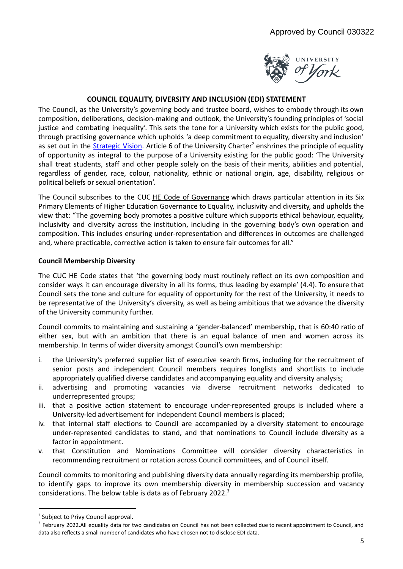

## **COUNCIL EQUALITY, DIVERSITY AND INCLUSION (EDI) STATEMENT**

The Council, as the University's governing body and trustee board, wishes to embody through its own composition, deliberations, decision-making and outlook, the University's founding principles of 'social justice and combating inequality'. This sets the tone for a University which exists for the public good, through practising governance which upholds 'a deep commitment to equality, diversity and inclusion' as set out in the **[Strategic](https://features.york.ac.uk/vision-for-york/) Vision**. Article 6 of the University Charter<sup>2</sup> enshrines the principle of equality of opportunity as integral to the purpose of a University existing for the public good: 'The University shall treat students, staff and other people solely on the basis of their merits, abilities and potential, regardless of gender, race, colour, nationality, ethnic or national origin, age, disability, religious or political beliefs or sexual orientation'.

The Council subscribes to the CUC HE Code of [Governance](https://www.universitychairs.ac.uk/wp-content/uploads/2020/09/CUC-HE-Code-of-Governance-publication-final.pdf) which draws particular attention in its Six Primary Elements of Higher Education Governance to Equality, inclusivity and diversity, and upholds the view that: "The governing body promotes a positive culture which supports ethical behaviour, equality, inclusivity and diversity across the institution, including in the governing body's own operation and composition. This includes ensuring under-representation and differences in outcomes are challenged and, where practicable, corrective action is taken to ensure fair outcomes for all."

## **Council Membership Diversity**

The CUC HE Code states that 'the governing body must routinely reflect on its own composition and consider ways it can encourage diversity in all its forms, thus leading by example' (4.4). To ensure that Council sets the tone and culture for equality of opportunity for the rest of the University, it needs to be representative of the University's diversity, as well as being ambitious that we advance the diversity of the University community further.

Council commits to maintaining and sustaining a 'gender-balanced' membership, that is 60:40 ratio of either sex, but with an ambition that there is an equal balance of men and women across its membership. In terms of wider diversity amongst Council's own membership:

- i. the University's preferred supplier list of executive search firms, including for the recruitment of senior posts and independent Council members requires longlists and shortlists to include appropriately qualified diverse candidates and accompanying equality and diversity analysis;
- ii. advertising and promoting vacancies via diverse recruitment networks dedicated to underrepresented groups;
- iii. that a positive action statement to encourage under-represented groups is included where a University-led advertisement for independent Council members is placed;
- iv. that internal staff elections to Council are accompanied by a diversity statement to encourage under-represented candidates to stand, and that nominations to Council include diversity as a factor in appointment.
- v. that Constitution and Nominations Committee will consider diversity characteristics in recommending recruitment or rotation across Council committees, and of Council itself.

Council commits to monitoring and publishing diversity data annually regarding its membership profile, to identify gaps to improve its own membership diversity in membership succession and vacancy considerations. The below table is data as of February 2022. $^3$ 

<sup>&</sup>lt;sup>2</sup> Subject to Privy Council approval.

<sup>&</sup>lt;sup>3</sup> February 2022.All equality data for two candidates on Council has not been collected due to recent appointment to Council, and data also reflects a small number of candidates who have chosen not to disclose EDI data.